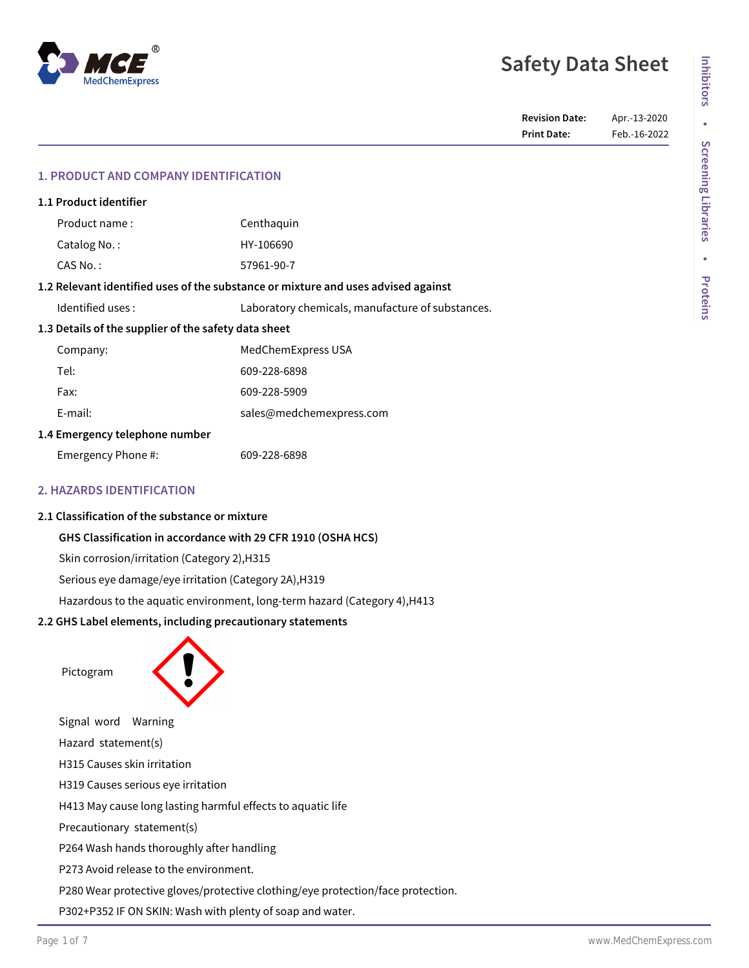# **Safety Data Sheet**

# **1. PRODUCT AND COMPANY IDENTIFICATION**

|                                                                                   | 1.1 Product identifier |                                                  |  |  |  |  |
|-----------------------------------------------------------------------------------|------------------------|--------------------------------------------------|--|--|--|--|
|                                                                                   | Product name:          | Centhaquin                                       |  |  |  |  |
|                                                                                   | Catalog No.:           | HY-106690                                        |  |  |  |  |
|                                                                                   | $CAS No.$ :            | 57961-90-7                                       |  |  |  |  |
| 1.2 Relevant identified uses of the substance or mixture and uses advised against |                        |                                                  |  |  |  |  |
|                                                                                   | Identified uses:       | Laboratory chemicals, manufacture of substances. |  |  |  |  |
| 1.3 Details of the supplier of the safety data sheet                              |                        |                                                  |  |  |  |  |
|                                                                                   | Company:               | MedChemExpress USA                               |  |  |  |  |
|                                                                                   | Tel:                   | 609-228-6898                                     |  |  |  |  |
|                                                                                   | Fax:                   | 609-228-5909                                     |  |  |  |  |
|                                                                                   | E-mail:                | sales@medchemexpress.com                         |  |  |  |  |
| 1.4 Emergency telephone number                                                    |                        |                                                  |  |  |  |  |
|                                                                                   | Emergency Phone #:     | 609-228-6898                                     |  |  |  |  |
|                                                                                   |                        |                                                  |  |  |  |  |

# **2. HAZARDS IDENTIFICATION**

# **2.1 Classification of the substance or mixture**

# **GHS Classification in accordance with 29 CFR 1910 (OSHA HCS)**

Skin corrosion/irritation (Category 2),H315

Serious eye damage/eye irritation (Category 2A),H319

Hazardous to the aquatic environment, long-term hazard (Category 4),H413

# **2.2 GHS Label elements, including precautionary statements**

Pictogram



Signal word Warning Hazard statement(s) H315 Causes skin irritation H319 Causes serious eye irritation H413 May cause long lasting harmful effects to aquatic life Precautionary statement(s) P264 Wash hands thoroughly after handling P273 Avoid release to the environment. P280 Wear protective gloves/protective clothing/eye protection/face protection. P302+P352 IF ON SKIN: Wash with plenty of soap and water.

**Screening Libraries** 

**Inhibitors**

Inhibitors

**•**

**Screening Libraries**

**•**

**Proteins**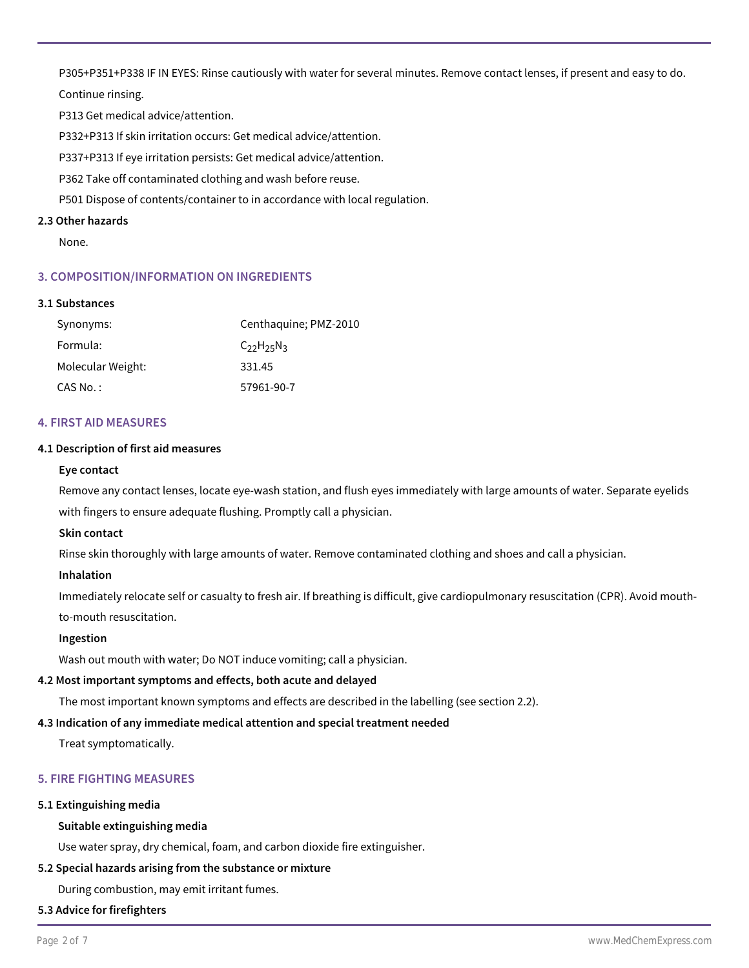P305+P351+P338 IF IN EYES: Rinse cautiously with water for several minutes. Remove contact lenses, if present and easy to do. Continue rinsing.

P313 Get medical advice/attention.

P332+P313 If skin irritation occurs: Get medical advice/attention.

P337+P313 If eye irritation persists: Get medical advice/attention.

P362 Take off contaminated clothing and wash before reuse.

P501 Dispose of contents/container to in accordance with local regulation.

# **2.3 Other hazards**

None.

# **3. COMPOSITION/INFORMATION ON INGREDIENTS**

## **3.1 Substances**

| Synonyms:         | Centhaguine; PMZ-2010 |
|-------------------|-----------------------|
| Formula:          | $C_{22}H_{25}N_{3}$   |
| Molecular Weight: | 331.45                |
| CAS No.:          | 57961-90-7            |

## **4. FIRST AID MEASURES**

# **4.1 Description of first aid measures**

## **Eye contact**

Remove any contact lenses, locate eye-wash station, and flush eyes immediately with large amounts of water. Separate eyelids with fingers to ensure adequate flushing. Promptly call a physician.

# **Skin contact**

Rinse skin thoroughly with large amounts of water. Remove contaminated clothing and shoes and call a physician.

# **Inhalation**

Immediately relocate self or casualty to fresh air. If breathing is difficult, give cardiopulmonary resuscitation (CPR). Avoid mouthto-mouth resuscitation.

#### **Ingestion**

Wash out mouth with water; Do NOT induce vomiting; call a physician.

# **4.2 Most important symptoms and effects, both acute and delayed**

The most important known symptoms and effects are described in the labelling (see section 2.2).

# **4.3 Indication of any immediate medical attention and special treatment needed**

Treat symptomatically.

# **5. FIRE FIGHTING MEASURES**

#### **5.1 Extinguishing media**

# **Suitable extinguishing media**

Use water spray, dry chemical, foam, and carbon dioxide fire extinguisher.

# **5.2 Special hazards arising from the substance or mixture**

During combustion, may emit irritant fumes.

#### **5.3 Advice for firefighters**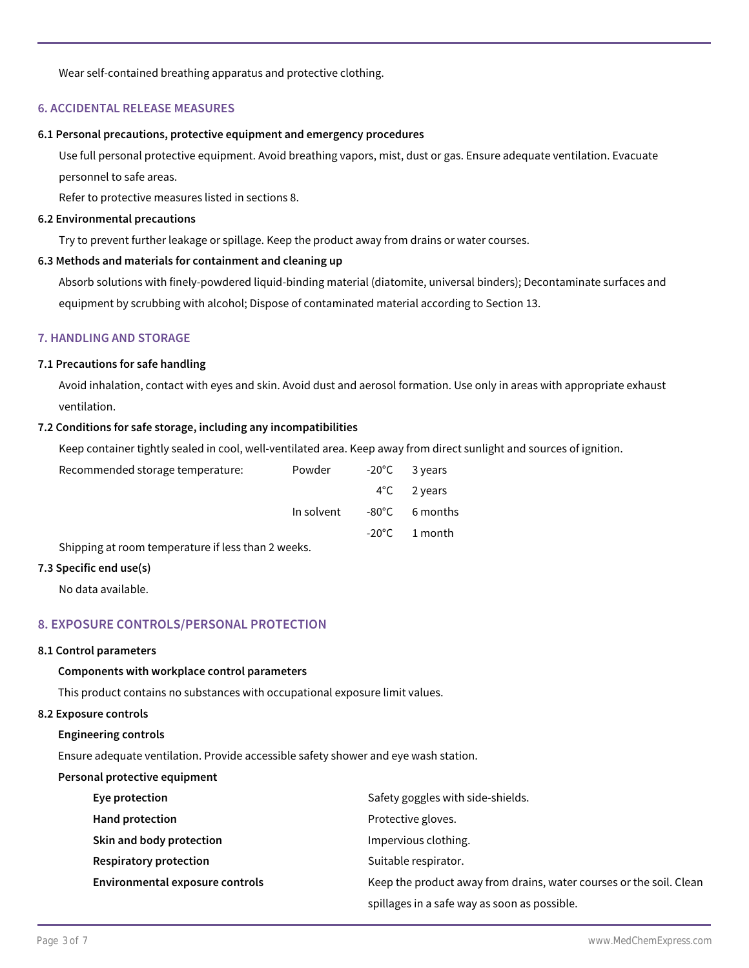Wear self-contained breathing apparatus and protective clothing.

# **6. ACCIDENTAL RELEASE MEASURES**

#### **6.1 Personal precautions, protective equipment and emergency procedures**

Use full personal protective equipment. Avoid breathing vapors, mist, dust or gas. Ensure adequate ventilation. Evacuate personnel to safe areas.

Refer to protective measures listed in sections 8.

#### **6.2 Environmental precautions**

Try to prevent further leakage or spillage. Keep the product away from drains or water courses.

#### **6.3 Methods and materials for containment and cleaning up**

Absorb solutions with finely-powdered liquid-binding material (diatomite, universal binders); Decontaminate surfaces and equipment by scrubbing with alcohol; Dispose of contaminated material according to Section 13.

# **7. HANDLING AND STORAGE**

#### **7.1 Precautions for safe handling**

Avoid inhalation, contact with eyes and skin. Avoid dust and aerosol formation. Use only in areas with appropriate exhaust ventilation.

#### **7.2 Conditions for safe storage, including any incompatibilities**

Keep container tightly sealed in cool, well-ventilated area. Keep away from direct sunlight and sources of ignition.

| Recommended storage temperature:                   | Powder     | -20°C 3 years           |
|----------------------------------------------------|------------|-------------------------|
|                                                    |            | $4^{\circ}$ C 2 years   |
|                                                    | In solvent | -80°C 6 months          |
|                                                    |            | $-20^{\circ}$ C 1 month |
| Shipping at room temperature if less than 2 weeks. |            |                         |

#### **7.3 Specific end use(s)**

No data available.

# **8. EXPOSURE CONTROLS/PERSONAL PROTECTION**

#### **8.1 Control parameters**

## **Components with workplace control parameters**

This product contains no substances with occupational exposure limit values.

#### **8.2 Exposure controls**

#### **Engineering controls**

Ensure adequate ventilation. Provide accessible safety shower and eye wash station.

#### **Personal protective equipment**

| Eye protection                  | Safety goggles with side-shields.                                   |
|---------------------------------|---------------------------------------------------------------------|
| <b>Hand protection</b>          | Protective gloves.                                                  |
| Skin and body protection        | Impervious clothing.                                                |
| <b>Respiratory protection</b>   | Suitable respirator.                                                |
| Environmental exposure controls | Keep the product away from drains, water courses or the soil. Clean |
|                                 | spillages in a safe way as soon as possible.                        |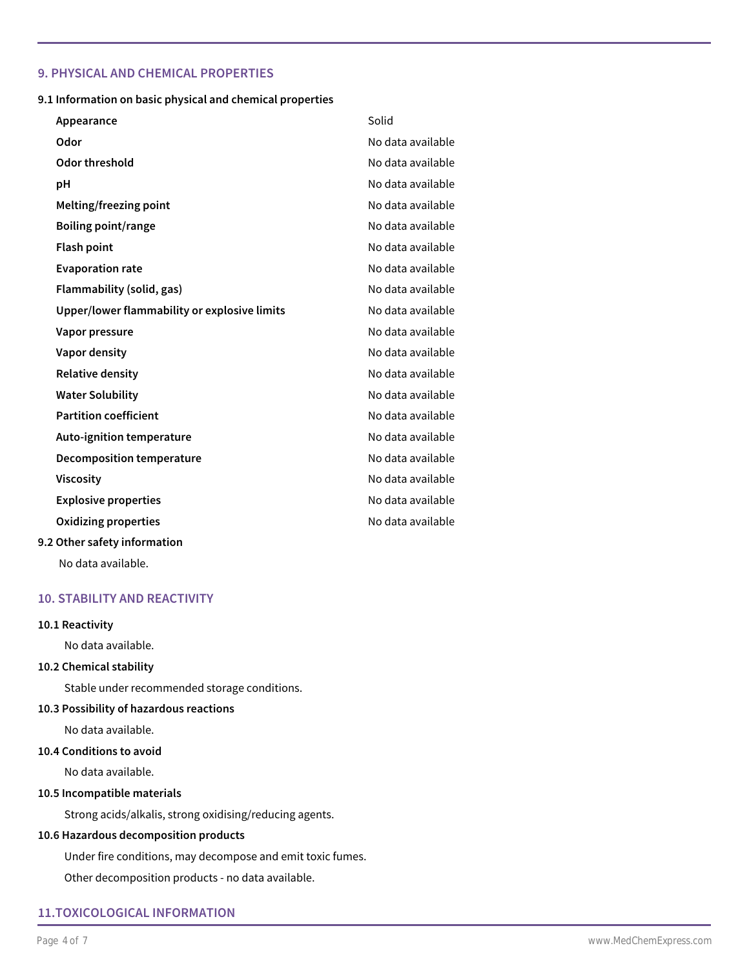# **9. PHYSICAL AND CHEMICAL PROPERTIES**

## **9.1 Information on basic physical and chemical properties**

| Appearance                                   | Solid             |
|----------------------------------------------|-------------------|
| Odor                                         | No data available |
| Odor threshold                               | No data available |
| рH                                           | No data available |
| Melting/freezing point                       | No data available |
| <b>Boiling point/range</b>                   | No data available |
| <b>Flash point</b>                           | No data available |
| <b>Evaporation rate</b>                      | No data available |
| Flammability (solid, gas)                    | No data available |
| Upper/lower flammability or explosive limits | No data available |
| Vapor pressure                               | No data available |
| Vapor density                                | No data available |
| <b>Relative density</b>                      | No data available |
| <b>Water Solubility</b>                      | No data available |
| <b>Partition coefficient</b>                 | No data available |
| <b>Auto-ignition temperature</b>             | No data available |
| <b>Decomposition temperature</b>             | No data available |
| <b>Viscosity</b>                             | No data available |
| <b>Explosive properties</b>                  | No data available |
| Oxidizing properties                         | No data available |
| 9.2 Other safety information                 |                   |

No data available.

# **10. STABILITY AND REACTIVITY**

# **10.1 Reactivity**

No data available.

# **10.2 Chemical stability**

Stable under recommended storage conditions.

# **10.3 Possibility of hazardous reactions**

No data available.

#### **10.4 Conditions to avoid**

No data available.

#### **10.5 Incompatible materials**

Strong acids/alkalis, strong oxidising/reducing agents.

## **10.6 Hazardous decomposition products**

Under fire conditions, may decompose and emit toxic fumes.

Other decomposition products - no data available.

# **11.TOXICOLOGICAL INFORMATION**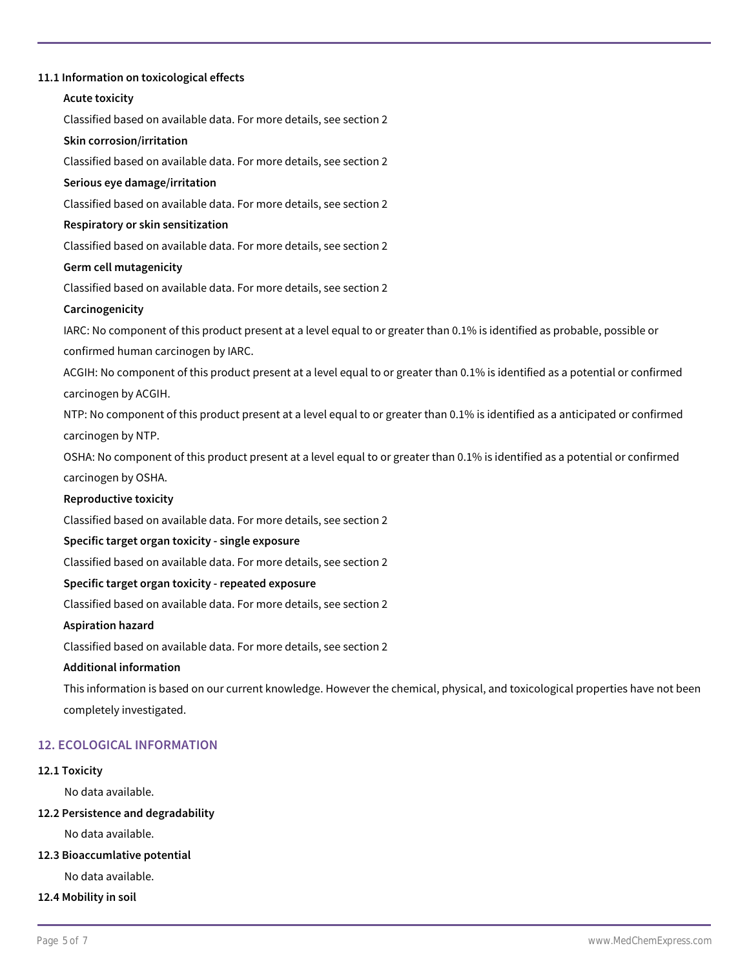# **11.1 Information on toxicological effects**

# **Acute toxicity**

Classified based on available data. For more details, see section 2

# **Skin corrosion/irritation**

Classified based on available data. For more details, see section 2

## **Serious eye damage/irritation**

Classified based on available data. For more details, see section 2

## **Respiratory or skin sensitization**

Classified based on available data. For more details, see section 2

# **Germ cell mutagenicity**

Classified based on available data. For more details, see section 2

## **Carcinogenicity**

IARC: No component of this product present at a level equal to or greater than 0.1% is identified as probable, possible or confirmed human carcinogen by IARC.

ACGIH: No component of this product present at a level equal to or greater than 0.1% is identified as a potential or confirmed carcinogen by ACGIH.

NTP: No component of this product present at a level equal to or greater than 0.1% is identified as a anticipated or confirmed carcinogen by NTP.

OSHA: No component of this product present at a level equal to or greater than 0.1% is identified as a potential or confirmed carcinogen by OSHA.

# **Reproductive toxicity**

Classified based on available data. For more details, see section 2

#### **Specific target organ toxicity - single exposure**

Classified based on available data. For more details, see section 2

# **Specific target organ toxicity - repeated exposure**

Classified based on available data. For more details, see section 2

#### **Aspiration hazard**

Classified based on available data. For more details, see section 2

# **Additional information**

This information is based on our current knowledge. However the chemical, physical, and toxicological properties have not been completely investigated.

# **12. ECOLOGICAL INFORMATION**

# **12.1 Toxicity**

No data available.

# **12.2 Persistence and degradability**

No data available.

# **12.3 Bioaccumlative potential**

No data available.

# **12.4 Mobility in soil**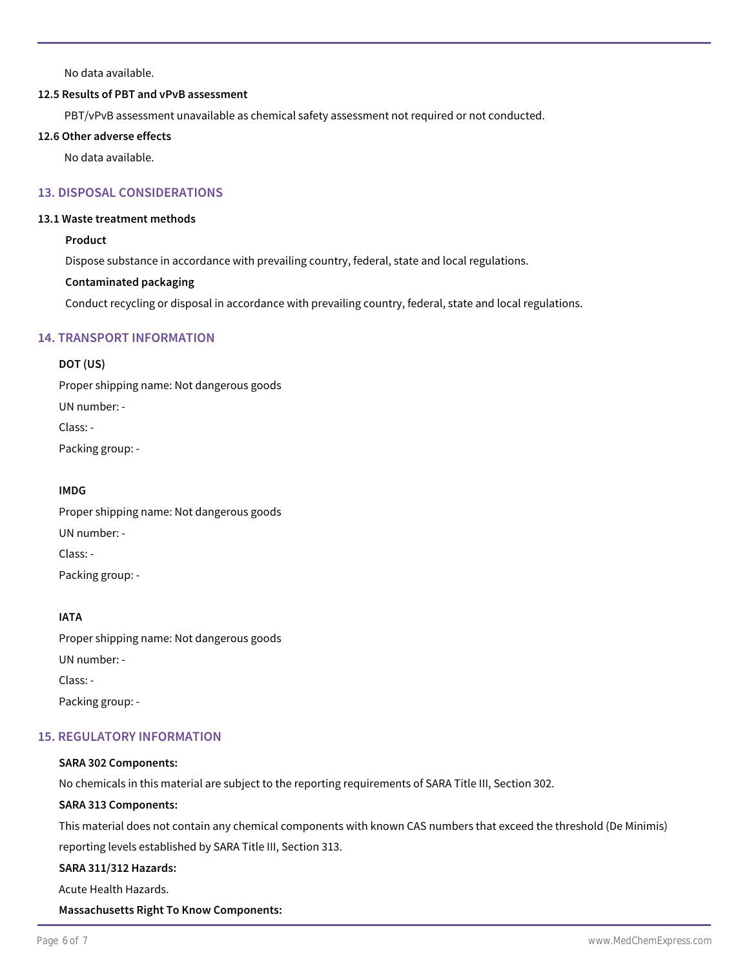No data available.

# **12.5 Results of PBT and vPvB assessment**

PBT/vPvB assessment unavailable as chemical safety assessment not required or not conducted.

### **12.6 Other adverse effects**

No data available.

# **13. DISPOSAL CONSIDERATIONS**

# **13.1 Waste treatment methods**

# **Product**

Dispose substance in accordance with prevailing country, federal, state and local regulations.

# **Contaminated packaging**

Conduct recycling or disposal in accordance with prevailing country, federal, state and local regulations.

# **14. TRANSPORT INFORMATION**

# **DOT (US)**

Proper shipping name: Not dangerous goods UN number: - Class: - Packing group: -

# **IMDG**

Proper shipping name: Not dangerous goods UN number: - Class: - Packing group: -

# **IATA**

Proper shipping name: Not dangerous goods UN number: - Class: - Packing group: -

# **15. REGULATORY INFORMATION**

# **SARA 302 Components:**

No chemicals in this material are subject to the reporting requirements of SARA Title III, Section 302.

# **SARA 313 Components:**

This material does not contain any chemical components with known CAS numbers that exceed the threshold (De Minimis)

reporting levels established by SARA Title III, Section 313.

# **SARA 311/312 Hazards:**

Acute Health Hazards.

# **Massachusetts Right To Know Components:**